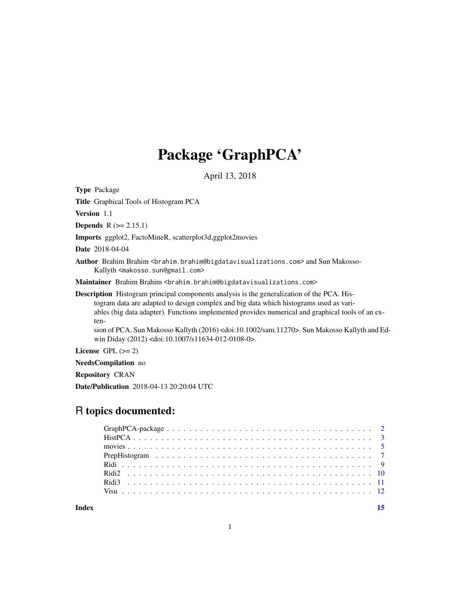## Package 'GraphPCA'

April 13, 2018

Type Package

Title Graphical Tools of Histogram PCA

Version 1.1

**Depends**  $R$  ( $>= 2.15.1$ )

Imports ggplot2, FactoMineR, scatterplot3d,ggplot2movies

Date 2018-04-04

Author Brahim Brahim <br />  $\delta$  />  $\delta$  />  $\delta$  />  $\delta$  />  $\delta$  />  $\delta$  />  $\delta$  />  $\delta$  />  $\delta$  />  $\delta$  />  $\delta$  />  $\delta$  />  $\delta$  />  $\delta$  />  $\delta$  />  $\delta$  />  $\delta$  />  $\delta$  />  $\delta$  />  $\delta$  />  $\delta$  />  $\delta$  />  $\delta$  />  $\delta$  />  $\$ Kallyth <makosso.sun@gmail.com>

Maintainer Brahim Brahim <br ahim.brahim@bigdatavisualizations.com>

Description Histogram principal components analysis is the generalization of the PCA. Histogram data are adapted to design complex and big data which histograms used as variables (big data adapter). Functions implemented provides numerical and graphical tools of an exten-

sion of PCA. Sun Makosso Kallyth (2016) <doi:10.1002/sam.11270>. Sun Makosso Kallyth and Edwin Diday (2012) <doi:10.1007/s11634-012-0108-0>.

License GPL  $(>= 2)$ 

NeedsCompilation no

Repository CRAN

Date/Publication 2018-04-13 20:20:04 UTC

## R topics documented:

**Index** [15](#page-14-0)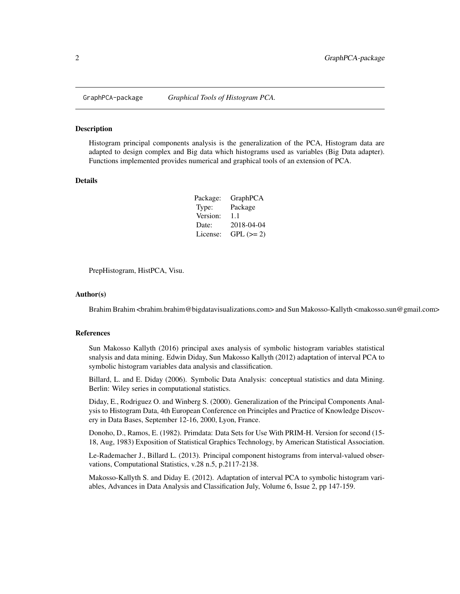<span id="page-1-0"></span>

#### Description

Histogram principal components analysis is the generalization of the PCA, Histogram data are adapted to design complex and Big data which histograms used as variables (Big Data adapter). Functions implemented provides numerical and graphical tools of an extension of PCA.

#### Details

| Package: | GraphPCA   |
|----------|------------|
| Type:    | Package    |
| Version: | 11         |
| Date:    | 2018-04-04 |
| License: | $GPL (=2)$ |

PrepHistogram, HistPCA, Visu.

#### Author(s)

Brahim Brahim <brahim.brahim@bigdatavisualizations.com> and Sun Makosso-Kallyth <makosso.sun@gmail.com>

#### References

Sun Makosso Kallyth (2016) principal axes analysis of symbolic histogram variables statistical snalysis and data mining. Edwin Diday, Sun Makosso Kallyth (2012) adaptation of interval PCA to symbolic histogram variables data analysis and classification.

Billard, L. and E. Diday (2006). Symbolic Data Analysis: conceptual statistics and data Mining. Berlin: Wiley series in computational statistics.

Diday, E., Rodriguez O. and Winberg S. (2000). Generalization of the Principal Components Analysis to Histogram Data, 4th European Conference on Principles and Practice of Knowledge Discovery in Data Bases, September 12-16, 2000, Lyon, France.

Donoho, D., Ramos, E. (1982). Primdata: Data Sets for Use With PRIM-H. Version for second (15- 18, Aug, 1983) Exposition of Statistical Graphics Technology, by American Statistical Association.

Le-Rademacher J., Billard L. (2013). Principal component histograms from interval-valued observations, Computational Statistics, v.28 n.5, p.2117-2138.

Makosso-Kallyth S. and Diday E. (2012). Adaptation of interval PCA to symbolic histogram variables, Advances in Data Analysis and Classification July, Volume 6, Issue 2, pp 147-159.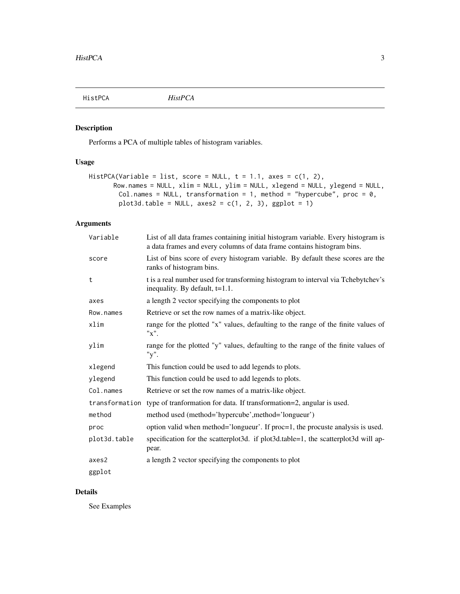<span id="page-2-0"></span>

## Description

Performs a PCA of multiple tables of histogram variables.

## Usage

```
HistPCA(Variable = list, score = NULL, t = 1.1, axes = c(1, 2),Row.names = NULL, xlim = NULL, ylim = NULL, xlegend = NULL, ylegend = NULL,
        Col.names = NULL, transformation = 1, method = "hypercube", proc = 0,
        plot3d_table = NULL, axes2 = c(1, 2, 3), ggbot = 1)
```
## Arguments

| Variable     | List of all data frames containing initial histogram variable. Every histogram is<br>a data frames and every columns of data frame contains histogram bins. |
|--------------|-------------------------------------------------------------------------------------------------------------------------------------------------------------|
| score        | List of bins score of every histogram variable. By default these scores are the<br>ranks of histogram bins.                                                 |
| t            | t is a real number used for transforming histogram to interval via Tchebytchev's<br>inequality. By default, $t=1.1$ .                                       |
| axes         | a length 2 vector specifying the components to plot                                                                                                         |
| Row.names    | Retrieve or set the row names of a matrix-like object.                                                                                                      |
| xlim         | range for the plotted "x" values, defaulting to the range of the finite values of<br>$"x"$ .                                                                |
| ylim         | range for the plotted "y" values, defaulting to the range of the finite values of<br>"y".                                                                   |
| xlegend      | This function could be used to add legends to plots.                                                                                                        |
| ylegend      | This function could be used to add legends to plots.                                                                                                        |
| Col.names    | Retrieve or set the row names of a matrix-like object.                                                                                                      |
|              | transformation type of transformation for data. If transformation=2, angular is used.                                                                       |
| method       | method used (method='hypercube',method='longueur')                                                                                                          |
| proc         | option valid when method='longueur'. If proc=1, the procuste analysis is used.                                                                              |
| plot3d.table | specification for the scatterplot3d. if plot3d.table=1, the scatterplot3d will ap-<br>pear.                                                                 |
| axes2        | a length 2 vector specifying the components to plot                                                                                                         |
| ggplot       |                                                                                                                                                             |

## Details

See Examples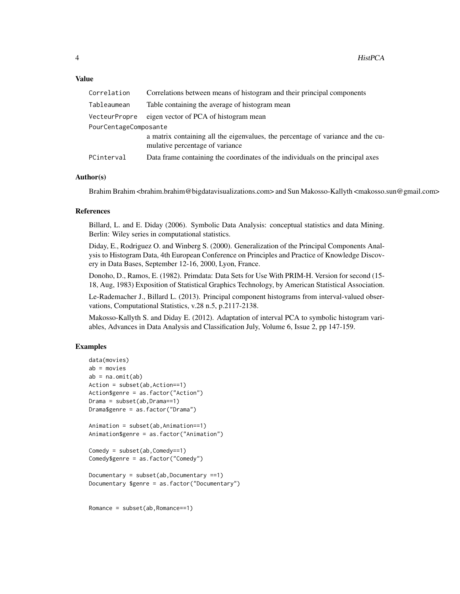#### Value

| Correlation           | Correlations between means of histogram and their principal components                                             |
|-----------------------|--------------------------------------------------------------------------------------------------------------------|
| Tableaumean           | Table containing the average of histogram mean                                                                     |
| VecteurPropre         | eigen vector of PCA of histogram mean                                                                              |
| PourCentageComposante |                                                                                                                    |
|                       | a matrix containing all the eigenvalues, the percentage of variance and the cu-<br>mulative percentage of variance |
| PCinterval            | Data frame containing the coordinates of the individuals on the principal axes                                     |

## Author(s)

Brahim Brahim <br/>  $\alpha$ brahim.brahim@bigdatavisualizations.com> and Sun Makosso-Kallyth <makosso.sun@gmail.com>

#### References

Billard, L. and E. Diday (2006). Symbolic Data Analysis: conceptual statistics and data Mining. Berlin: Wiley series in computational statistics.

Diday, E., Rodriguez O. and Winberg S. (2000). Generalization of the Principal Components Analysis to Histogram Data, 4th European Conference on Principles and Practice of Knowledge Discovery in Data Bases, September 12-16, 2000, Lyon, France.

Donoho, D., Ramos, E. (1982). Primdata: Data Sets for Use With PRIM-H. Version for second (15- 18, Aug, 1983) Exposition of Statistical Graphics Technology, by American Statistical Association.

Le-Rademacher J., Billard L. (2013). Principal component histograms from interval-valued observations, Computational Statistics, v.28 n.5, p.2117-2138.

Makosso-Kallyth S. and Diday E. (2012). Adaptation of interval PCA to symbolic histogram variables, Advances in Data Analysis and Classification July, Volume 6, Issue 2, pp 147-159.

## Examples

```
data(movies)
ab = movies
ab = na.mit(ab)Action = subset(ab,Action==1)
Action$genre = as.factor("Action")
Drama = subset(ab,Drama==1)
Drama$genre = as.factor("Drama")
Animation = subset(ab,Animation==1)
Animation$genre = as.factor("Animation")
Comedy = subset(ab,Comedy == 1)Comedy$genre = as.factor("Comedy")
Documentary = subset(ab,Documentary ==1)Documentary $genre = as.factor("Documentary")
```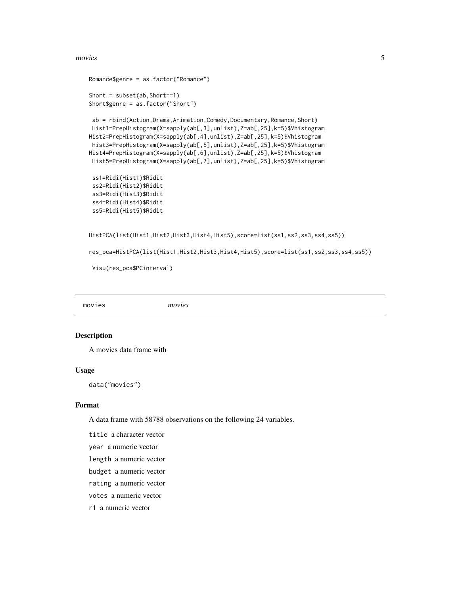#### <span id="page-4-0"></span>movies 5

```
Romance$genre = as.factor("Romance")
Short = subset(ab,Short==1)
Short$genre = as.factor("Short")
```

```
ab = rbind(Action,Drama,Animation,Comedy,Documentary,Romance,Short)
Hist1=PrepHistogram(X=sapply(ab[,3],unlist),Z=ab[,25],k=5)$Vhistogram
Hist2=PrepHistogram(X=sapply(ab[,4],unlist),Z=ab[,25],k=5)$Vhistogram
Hist3=PrepHistogram(X=sapply(ab[,5],unlist),Z=ab[,25],k=5)$Vhistogram
Hist4=PrepHistogram(X=sapply(ab[,6],unlist),Z=ab[,25],k=5)$Vhistogram
Hist5=PrepHistogram(X=sapply(ab[,7],unlist),Z=ab[,25],k=5)$Vhistogram
```

```
ss1=Ridi(Hist1)$Ridit
ss2=Ridi(Hist2)$Ridit
ss3=Ridi(Hist3)$Ridit
ss4=Ridi(Hist4)$Ridit
ss5=Ridi(Hist5)$Ridit
```

```
HistPCA(list(Hist1,Hist2,Hist3,Hist4,Hist5),score=list(ss1,ss2,ss3,ss4,ss5))
```

```
res_pca=HistPCA(list(Hist1,Hist2,Hist3,Hist4,Hist5),score=list(ss1,ss2,ss3,ss4,ss5))
```
Visu(res\_pca\$PCinterval)

movies *movies*

#### Description

A movies data frame with

#### Usage

data("movies")

#### Format

A data frame with 58788 observations on the following 24 variables.

title a character vector

year a numeric vector

- length a numeric vector
- budget a numeric vector

rating a numeric vector

votes a numeric vector

r1 a numeric vector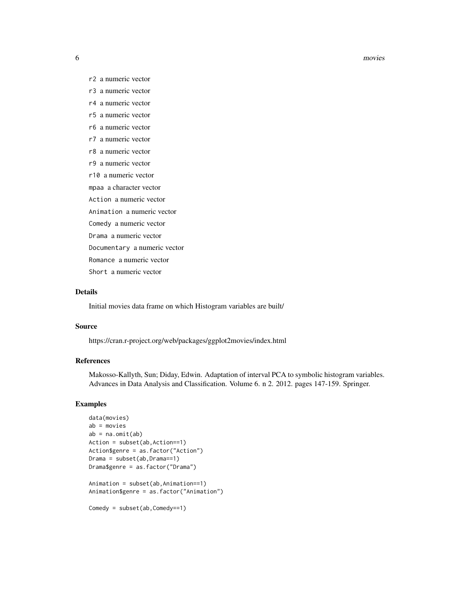#### **6** movies

- r2 a numeric vector
- r3 a numeric vector
- r4 a numeric vector
- r5 a numeric vector
- r6 a numeric vector
- r7 a numeric vector
- r8 a numeric vector
- r9 a numeric vector
- r10 a numeric vector
- mpaa a character vector
- Action a numeric vector
- Animation a numeric vector
- Comedy a numeric vector
- Drama a numeric vector
- Documentary a numeric vector
- Romance a numeric vector
- Short a numeric vector

#### Details

Initial movies data frame on which Histogram variables are built/

#### Source

https://cran.r-project.org/web/packages/ggplot2movies/index.html

#### References

Makosso-Kallyth, Sun; Diday, Edwin. Adaptation of interval PCA to symbolic histogram variables. Advances in Data Analysis and Classification. Volume 6. n 2. 2012. pages 147-159. Springer.

## Examples

```
data(movies)
ab = movies
ab = na.mit(ab)Action = subset(ab,Action==1)
Action$genre = as.factor("Action")
Drama = subset(ab,Drama==1)
Drama$genre = as.factor("Drama")
Animation = subset(ab,Animation==1)
Animation$genre = as.factor("Animation")
Comedy = subset(ab,Comedy==1)
```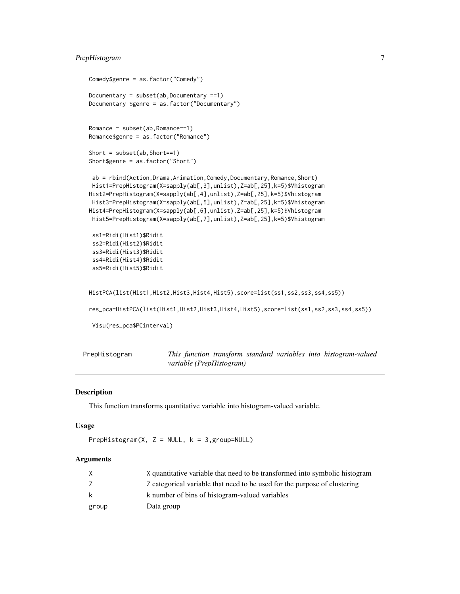## <span id="page-6-0"></span>PrepHistogram 7

```
Comedy$genre = as.factor("Comedy")
Documentary = subset(ab,Documentary ==1)Documentary $genre = as.factor("Documentary")
Romance = subset(ab,Romance==1)
Romance$genre = as.factor("Romance")
Short = subset(ab,Short==1)
Short$genre = as.factor("Short")
 ab = rbind(Action,Drama,Animation,Comedy,Documentary,Romance,Short)
Hist1=PrepHistogram(X=sapply(ab[,3],unlist),Z=ab[,25],k=5)$Vhistogram
Hist2=PrepHistogram(X=sapply(ab[,4],unlist),Z=ab[,25],k=5)$Vhistogram
Hist3=PrepHistogram(X=sapply(ab[,5],unlist),Z=ab[,25],k=5)$Vhistogram
Hist4=PrepHistogram(X=sapply(ab[,6],unlist),Z=ab[,25],k=5)$Vhistogram
Hist5=PrepHistogram(X=sapply(ab[,7],unlist),Z=ab[,25],k=5)$Vhistogram
ss1=Ridi(Hist1)$Ridit
ss2=Ridi(Hist2)$Ridit
ss3=Ridi(Hist3)$Ridit
ss4=Ridi(Hist4)$Ridit
ss5=Ridi(Hist5)$Ridit
HistPCA(list(Hist1,Hist2,Hist3,Hist4,Hist5),score=list(ss1,ss2,ss3,ss4,ss5))
res_pca=HistPCA(list(Hist1,Hist2,Hist3,Hist4,Hist5),score=list(ss1,ss2,ss3,ss4,ss5))
Visu(res_pca$PCinterval)
```

| PrepHistogram |                          |  |  | This function transform standard variables into histogram-valued |
|---------------|--------------------------|--|--|------------------------------------------------------------------|
|               | variable (PrepHistogram) |  |  |                                                                  |

## Description

This function transforms quantitative variable into histogram-valued variable.

#### Usage

```
PrepHistogram(X, Z = NULL, k = 3, group=NULL)
```
#### Arguments

|       | X quantitative variable that need to be transformed into symbolic histogram |
|-------|-----------------------------------------------------------------------------|
|       | Z categorical variable that need to be used for the purpose of clustering   |
| k     | k number of bins of histogram-valued variables                              |
| group | Data group                                                                  |
|       |                                                                             |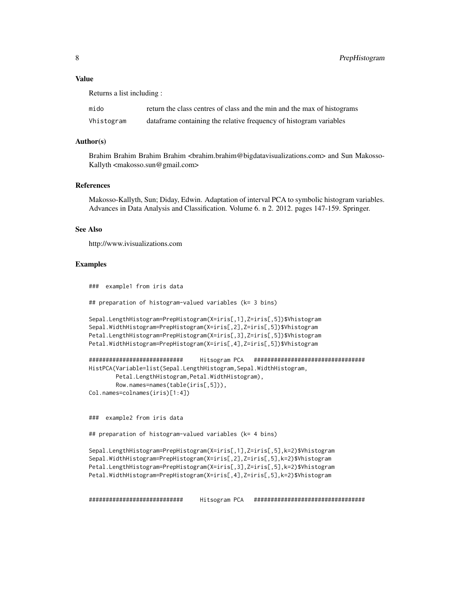#### Value

Returns a list including :

| mido       | return the class centres of class and the min and the max of histograms |
|------------|-------------------------------------------------------------------------|
| Vhistogram | data frame containing the relative frequency of histogram variables     |

#### Author(s)

Brahim Brahim Brahim Brahim <br/> than  $\Phi$  bigdatavisualizations.com> and Sun Makosso-Kallyth <makosso.sun@gmail.com>

#### References

Makosso-Kallyth, Sun; Diday, Edwin. Adaptation of interval PCA to symbolic histogram variables. Advances in Data Analysis and Classification. Volume 6. n 2. 2012. pages 147-159. Springer.

#### See Also

http://www.ivisualizations.com

#### Examples

### example1 from iris data

## preparation of histogram-valued variables (k= 3 bins)

```
Sepal.LengthHistogram=PrepHistogram(X=iris[,1],Z=iris[,5])$Vhistogram
Sepal.WidthHistogram=PrepHistogram(X=iris[,2],Z=iris[,5])$Vhistogram
Petal.LengthHistogram=PrepHistogram(X=iris[,3],Z=iris[,5])$Vhistogram
Petal.WidthHistogram=PrepHistogram(X=iris[,4],Z=iris[,5])$Vhistogram
```

```
############################ Hitsogram PCA #################################
HistPCA(Variable=list(Sepal.LengthHistogram,Sepal.WidthHistogram,
       Petal.LengthHistogram,Petal.WidthHistogram),
       Row.names=names(table(iris[,5])),
Col.names=colnames(iris)[1:4])
```
### example2 from iris data

## preparation of histogram-valued variables (k= 4 bins)

```
Sepal.LengthHistogram=PrepHistogram(X=iris[,1],Z=iris[,5],k=2)$Vhistogram
Sepal.WidthHistogram=PrepHistogram(X=iris[,2],Z=iris[,5],k=2)$Vhistogram
Petal.LengthHistogram=PrepHistogram(X=iris[,3],Z=iris[,5],k=2)$Vhistogram
Petal.WidthHistogram=PrepHistogram(X=iris[,4],Z=iris[,5],k=2)$Vhistogram
```
############################ Hitsogram PCA #################################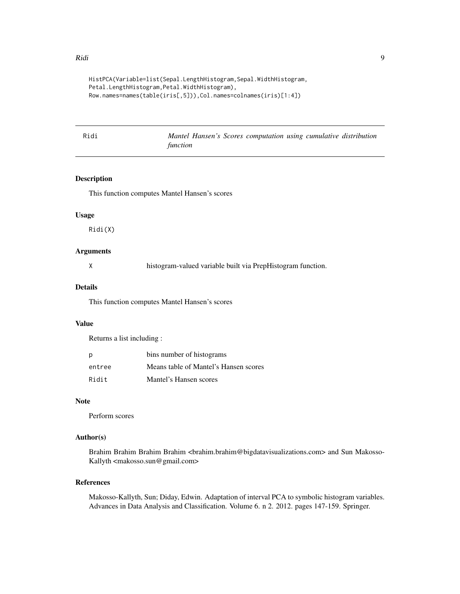```
HistPCA(Variable=list(Sepal.LengthHistogram,Sepal.WidthHistogram,
Petal.LengthHistogram,Petal.WidthHistogram),
Row.names=names(table(iris[,5])),Col.names=colnames(iris)[1:4])
```

| Ridi | Mantel Hansen's Scores computation using cumulative distribution |  |  |  |
|------|------------------------------------------------------------------|--|--|--|
|      | function                                                         |  |  |  |

## Description

This function computes Mantel Hansen's scores

#### Usage

Ridi(X)

## Arguments

histogram-valued variable built via PrepHistogram function.

#### Details

This function computes Mantel Hansen's scores

## Value

Returns a list including :

| p      | bins number of histograms             |
|--------|---------------------------------------|
| entree | Means table of Mantel's Hansen scores |
| Ridit  | Mantel's Hansen scores                |

#### Note

Perform scores

#### Author(s)

Brahim Brahim Brahim Brahim <br/> hrahim.brahim@bigdatavisualizations.com> and Sun Makosso-Kallyth <makosso.sun@gmail.com>

## References

Makosso-Kallyth, Sun; Diday, Edwin. Adaptation of interval PCA to symbolic histogram variables. Advances in Data Analysis and Classification. Volume 6. n 2. 2012. pages 147-159. Springer.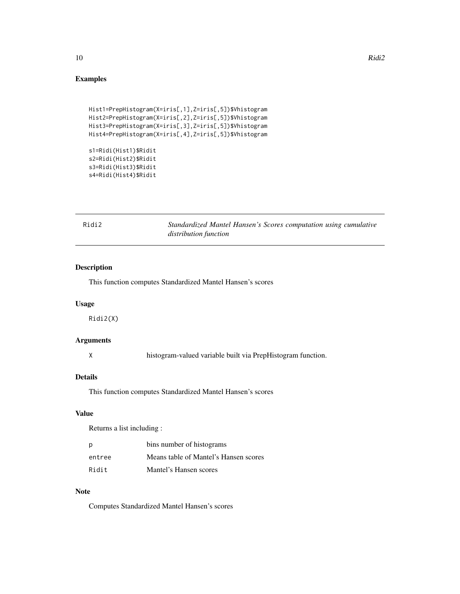## Examples

```
Hist1=PrepHistogram(X=iris[,1],Z=iris[,5])$Vhistogram
Hist2=PrepHistogram(X=iris[,2],Z=iris[,5])$Vhistogram
Hist3=PrepHistogram(X=iris[,3],Z=iris[,5])$Vhistogram
Hist4=PrepHistogram(X=iris[,4],Z=iris[,5])$Vhistogram
s1=Ridi(Hist1)$Ridit
```
s2=Ridi(Hist2)\$Ridit s3=Ridi(Hist3)\$Ridit s4=Ridi(Hist4)\$Ridit

| Ridi2 | Standardized Mantel Hansen's Scores computation using cumulative |  |
|-------|------------------------------------------------------------------|--|
|       | distribution function                                            |  |

## Description

This function computes Standardized Mantel Hansen's scores

#### Usage

Ridi2(X)

## Arguments

X histogram-valued variable built via PrepHistogram function.

## Details

This function computes Standardized Mantel Hansen's scores

## Value

Returns a list including :

| Ŋ      | bins number of histograms             |
|--------|---------------------------------------|
| entree | Means table of Mantel's Hansen scores |
| Ridit  | Mantel's Hansen scores                |

## Note

Computes Standardized Mantel Hansen's scores

<span id="page-9-0"></span>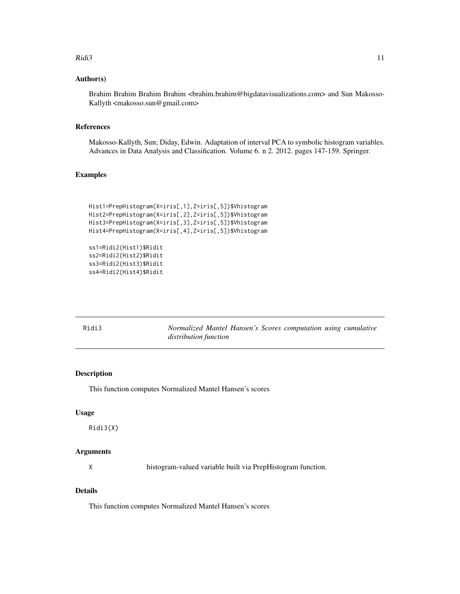#### <span id="page-10-0"></span> $Ridi3$  11

#### Author(s)

Brahim Brahim Brahim Brahim <br/>brahim@bigdatavisualizations.com> and Sun Makosso-Kallyth <makosso.sun@gmail.com>

#### References

Makosso-Kallyth, Sun; Diday, Edwin. Adaptation of interval PCA to symbolic histogram variables. Advances in Data Analysis and Classification. Volume 6. n 2. 2012. pages 147-159. Springer.

## Examples

```
Hist1=PrepHistogram(X=iris[,1],Z=iris[,5])$Vhistogram
Hist2=PrepHistogram(X=iris[,2],Z=iris[,5])$Vhistogram
Hist3=PrepHistogram(X=iris[,3],Z=iris[,5])$Vhistogram
Hist4=PrepHistogram(X=iris[,4],Z=iris[,5])$Vhistogram
```

```
ss1=Ridi2(Hist1)$Ridit
ss2=Ridi2(Hist2)$Ridit
ss3=Ridi2(Hist3)$Ridit
ss4=Ridi2(Hist4)$Ridit
```

| Ridi3 | Normalized Mantel Hansen's Scores computation using cumulative |  |  |  |
|-------|----------------------------------------------------------------|--|--|--|
|       | distribution function                                          |  |  |  |

## Description

This function computes Normalized Mantel Hansen's scores

## Usage

```
Ridi3(X)
```
## Arguments

X histogram-valued variable built via PrepHistogram function.

## Details

This function computes Normalized Mantel Hansen's scores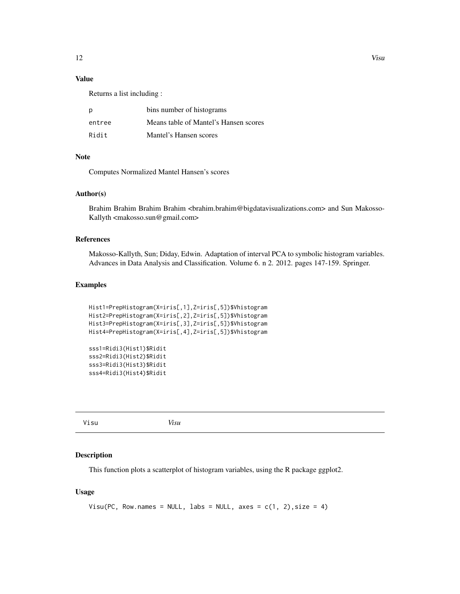## <span id="page-11-0"></span>Value

Returns a list including :

| р      | bins number of histograms             |
|--------|---------------------------------------|
| entree | Means table of Mantel's Hansen scores |
| Ridit  | Mantel's Hansen scores                |

## Note

Computes Normalized Mantel Hansen's scores

#### Author(s)

Brahim Brahim Brahim Brahim <br/> three manifologies data visualizations.com> and Sun Makosso-Kallyth <makosso.sun@gmail.com>

#### References

Makosso-Kallyth, Sun; Diday, Edwin. Adaptation of interval PCA to symbolic histogram variables. Advances in Data Analysis and Classification. Volume 6. n 2. 2012. pages 147-159. Springer.

#### Examples

```
Hist1=PrepHistogram(X=iris[,1],Z=iris[,5])$Vhistogram
Hist2=PrepHistogram(X=iris[,2],Z=iris[,5])$Vhistogram
Hist3=PrepHistogram(X=iris[,3],Z=iris[,5])$Vhistogram
Hist4=PrepHistogram(X=iris[,4],Z=iris[,5])$Vhistogram
```

```
sss1=Ridi3(Hist1)$Ridit
sss2=Ridi3(Hist2)$Ridit
sss3=Ridi3(Hist3)$Ridit
sss4=Ridi3(Hist4)$Ridit
```
Visu *Visu*

#### Description

This function plots a scatterplot of histogram variables, using the R package ggplot2.

## Usage

```
Visu(PC, Row.names = NULL, labs = NULL, axes = c(1, 2), size = 4)
```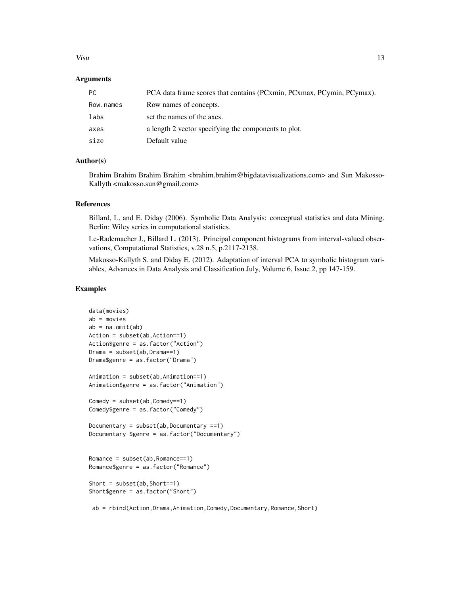#### Visu and the contract of the contract of the contract of the contract of the contract of the contract of the contract of the contract of the contract of the contract of the contract of the contract of the contract of the c

#### Arguments

| PC.       | PCA data frame scores that contains (PCxmin, PCxmax, PCymin, PCymax). |
|-----------|-----------------------------------------------------------------------|
| Row.names | Row names of concepts.                                                |
| labs      | set the names of the axes.                                            |
| axes      | a length 2 vector specifying the components to plot.                  |
| size      | Default value                                                         |

## Author(s)

Brahim Brahim Brahim Brahim <br/>brahim@bigdatavisualizations.com> and Sun Makosso-Kallyth <makosso.sun@gmail.com>

#### References

Billard, L. and E. Diday (2006). Symbolic Data Analysis: conceptual statistics and data Mining. Berlin: Wiley series in computational statistics.

Le-Rademacher J., Billard L. (2013). Principal component histograms from interval-valued observations, Computational Statistics, v.28 n.5, p.2117-2138.

Makosso-Kallyth S. and Diday E. (2012). Adaptation of interval PCA to symbolic histogram variables, Advances in Data Analysis and Classification July, Volume 6, Issue 2, pp 147-159.

#### Examples

```
data(movies)
ab = movies
ab = na.mit(ab)Action = subset(ab,Action==1)
Action$genre = as.factor("Action")
Drama = subset(ab,Drama==1)
Drama$genre = as.factor("Drama")
Animation = subset(ab,Animation==1)
Animation$genre = as.factor("Animation")
Comedy = subset(ab,Comedy==1)
Comedy$genre = as.factor("Comedy")
Documentary = subset(ab, Documentary ==1)
Documentary $genre = as.factor("Documentary")
Romance = subset(ab,Romance==1)
Romance$genre = as.factor("Romance")
Short = subset(ab,Short==1)
Short$genre = as.factor("Short")
```
ab = rbind(Action,Drama,Animation,Comedy,Documentary,Romance,Short)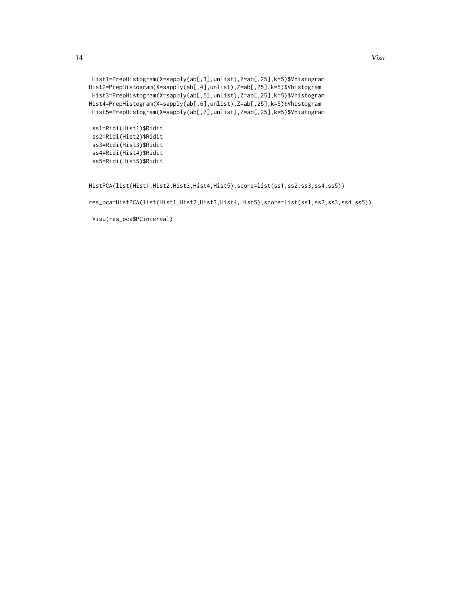```
Hist1=PrepHistogram(X=sapply(ab[,3],unlist),Z=ab[,25],k=5)$Vhistogram
Hist2=PrepHistogram(X=sapply(ab[,4],unlist),Z=ab[,25],k=5)$Vhistogram
Hist3=PrepHistogram(X=sapply(ab[,5],unlist),Z=ab[,25],k=5)$Vhistogram
Hist4=PrepHistogram(X=sapply(ab[,6],unlist),Z=ab[,25],k=5)$Vhistogram
Hist5=PrepHistogram(X=sapply(ab[,7],unlist),Z=ab[,25],k=5)$Vhistogram
```
ss1=Ridi(Hist1)\$Ridit ss2=Ridi(Hist2)\$Ridit ss3=Ridi(Hist3)\$Ridit ss4=Ridi(Hist4)\$Ridit ss5=Ridi(Hist5)\$Ridit

HistPCA(list(Hist1,Hist2,Hist3,Hist4,Hist5),score=list(ss1,ss2,ss3,ss4,ss5))

res\_pca=HistPCA(list(Hist1,Hist2,Hist3,Hist4,Hist5),score=list(ss1,ss2,ss3,ss4,ss5))

Visu(res\_pca\$PCinterval)